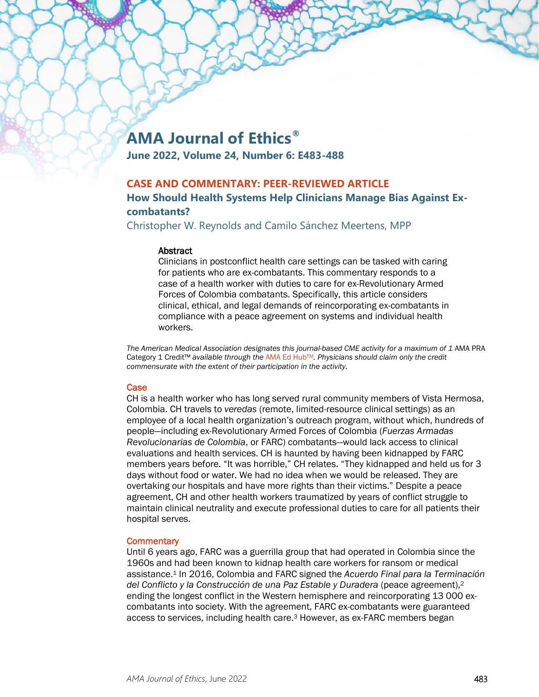# **AMA Journal of Ethics®**

**June 2022, Volume 24, Number 6: E483-488**

# **CASE AND COMMENTARY: PEER-REVIEWED ARTICLE**

# **How Should Health Systems Help Clinicians Manage Bias Against Excombatants?**

Christopher W. Reynolds and Camilo Sánchez Meertens, MPP

#### **Abstract**

Clinicians in postconflict health care settings can be tasked with caring for patients who are ex-combatants. This commentary responds to a case of a health worker with duties to care for ex-Revolutionary Armed Forces of Colombia combatants. Specifically, this article considers clinical, ethical, and legal demands of reincorporating ex-combatants in compliance with a peace agreement on systems and individual health workers.

The American Medical Association designates this journal-based CME activity for a maximum of 1 AMA PRA Category 1 Credit™ *available through the* [AMA Ed HubTM](https://edhub.ama-assn.org/ama-journal-of-ethics/module/2792302)*. Physicians should claim only the credit commensurate with the extent of their participation in the activity.*

## Case

CH is a health worker who has long served rural community members of Vista Hermosa, Colombia. CH travels to *veredas* (remote, limited-resource clinical settings) as an employee of a local health organization's outreach program, without which, hundreds of people—including ex-Revolutionary Armed Forces of Colombia (*Fuerzas Armadas Revolucionarias de Colombia*, or FARC) combatants—would lack access to clinical evaluations and health services. CH is haunted by having been kidnapped by FARC members years before. "It was horrible," CH relates. "They kidnapped and held us for 3 days without food or water. We had no idea when we would be released. They are overtaking our hospitals and have more rights than their victims." Despite a peace agreement, CH and other health workers traumatized by years of conflict struggle to maintain clinical neutrality and execute professional duties to care for all patients their hospital serves.

## **Commentary**

Until 6 years ago, FARC was a guerrilla group that had operated in Colombia since the 1960s and had been known to kidnap health care workers for ransom or medical assistance.1 In 2016, Colombia and FARC signed the *Acuerdo Final para la Terminación del Conflicto y la Construcción de una Paz Estable y Duradera* (peace agreement),2 ending the longest conflict in the Western hemisphere and reincorporating 13 000 excombatants into society. With the agreement, FARC ex-combatants were guaranteed access to services, including health care.3 However, as ex-FARC members began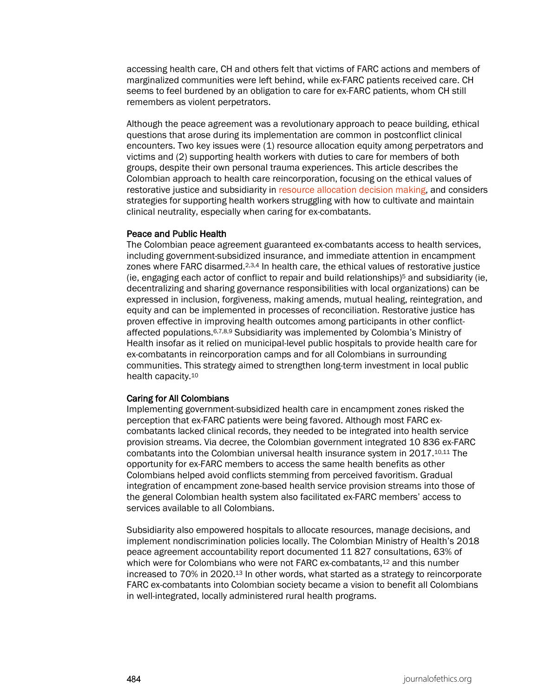accessing health care, CH and others felt that victims of FARC actions and members of marginalized communities were left behind, while ex-FARC patients received care. CH seems to feel burdened by an obligation to care for ex-FARC patients, whom CH still remembers as violent perpetrators.

Although the peace agreement was a revolutionary approach to peace building, ethical questions that arose during its implementation are common in postconflict clinical encounters. Two key issues were (1) resource allocation equity among perpetrators and victims and (2) supporting health workers with duties to care for members of both groups, despite their own personal trauma experiences. This article describes the Colombian approach to health care reincorporation, focusing on the ethical values of restorative justice and subsidiarity in [resource allocation decision making,](https://journalofethics.ama-assn.org/article/should-children-be-enrolled-clinical-research-conflict-zones/2022-06) and considers strategies for supporting health workers struggling with how to cultivate and maintain clinical neutrality, especially when caring for ex-combatants.

#### Peace and Public Health

The Colombian peace agreement guaranteed ex-combatants access to health services, including government-subsidized insurance, and immediate attention in encampment zones where FARC disarmed.<sup>2,3,4</sup> In health care, the ethical values of restorative justice (ie, engaging each actor of conflict to repair and build relationships) $5$  and subsidiarity (ie, decentralizing and sharing governance responsibilities with local organizations) can be expressed in inclusion, forgiveness, making amends, mutual healing, reintegration, and equity and can be implemented in processes of reconciliation. Restorative justice has proven effective in improving health outcomes among participants in other conflictaffected populations.6,7,8,9 Subsidiarity was implemented by Colombia's Ministry of Health insofar as it relied on municipal-level public hospitals to provide health care for ex-combatants in reincorporation camps and for all Colombians in surrounding communities. This strategy aimed to strengthen long-term investment in local public health capacity.10

## Caring for All Colombians

Implementing government-subsidized health care in encampment zones risked the perception that ex-FARC patients were being favored. Although most FARC excombatants lacked clinical records, they needed to be integrated into health service provision streams. Via decree, the Colombian government integrated 10 836 ex-FARC combatants into the Colombian universal health insurance system in 2017.10,11 The opportunity for ex-FARC members to access the same health benefits as other Colombians helped avoid conflicts stemming from perceived favoritism. Gradual integration of encampment zone-based health service provision streams into those of the general Colombian health system also facilitated ex-FARC members' access to services available to all Colombians.

Subsidiarity also empowered hospitals to allocate resources, manage decisions, and implement nondiscrimination policies locally. The Colombian Ministry of Health's 2018 peace agreement accountability report documented 11 827 consultations, 63% of which were for Colombians who were not FARC ex-combatants,<sup>12</sup> and this number increased to 70% in 2020.13 In other words, what started as a strategy to reincorporate FARC ex-combatants into Colombian society became a vision to benefit all Colombians in well-integrated, locally administered rural health programs.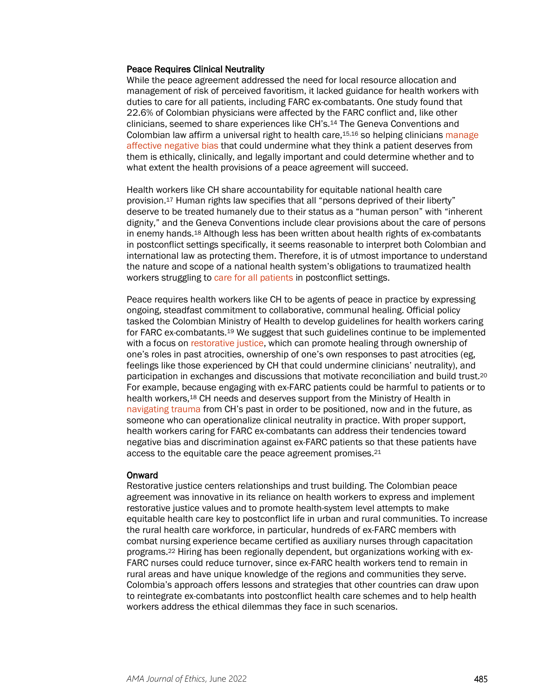#### Peace Requires Clinical Neutrality

While the peace agreement addressed the need for local resource allocation and management of risk of perceived favoritism, it lacked guidance for health workers with duties to care for all patients, including FARC ex-combatants. One study found that 22.6% of Colombian physicians were affected by the FARC conflict and, like other clinicians, seemed to share experiences like CH's.14 The Geneva Conventions and Colombian law affirm a universal right to health care,15,16 so helping clinicians [manage](https://journalofethics.ama-assn.org/article/believing-overcoming-cognitive-biases/2020-09)  [affective negative bias](https://journalofethics.ama-assn.org/article/believing-overcoming-cognitive-biases/2020-09) that could undermine what they think a patient deserves from them is ethically, clinically, and legally important and could determine whether and to what extent the health provisions of a peace agreement will succeed.

Health workers like CH share accountability for equitable national health care provision.17 Human rights law specifies that all "persons deprived of their liberty" deserve to be treated humanely due to their status as a "human person" with "inherent dignity," and the Geneva Conventions include clear provisions about the care of persons in enemy hands.18 Although less has been written about health rights of ex-combatants in postconflict settings specifically, it seems reasonable to interpret both Colombian and international law as protecting them. Therefore, it is of utmost importance to understand the nature and scope of a national health system's obligations to traumatized health workers struggling to [care for all patients](https://journalofethics.ama-assn.org/article/uncompromised-professional-responsibility-apartheid-south-africa/2015-10) in postconflict settings.

Peace requires health workers like CH to be agents of peace in practice by expressing ongoing, steadfast commitment to collaborative, communal healing. Official policy tasked the Colombian Ministry of Health to develop guidelines for health workers caring for FARC ex-combatants.19 We suggest that such guidelines continue to be implemented with a focus on [restorative justice,](https://journalofethics.ama-assn.org/article/transgenerational-trauma-and-trust-restoration/2021-06) which can promote healing through ownership of one's roles in past atrocities, ownership of one's own responses to past atrocities (eg, feelings like those experienced by CH that could undermine clinicians' neutrality), and participation in exchanges and discussions that motivate reconciliation and build trust.20 For example, because engaging with ex-FARC patients could be harmful to patients or to health workers,18 CH needs and deserves support from the Ministry of Health in [navigating trauma](https://journalofethics.ama-assn.org/article/what-should-count-best-practices-forensic-medical-and-psychological-evaluations-children-seeking/2022-04) from CH's past in order to be positioned, now and in the future, as someone who can operationalize clinical neutrality in practice. With proper support, health workers caring for FARC ex-combatants can address their tendencies toward negative bias and discrimination against ex-FARC patients so that these patients have access to the equitable care the peace agreement promises.<sup>21</sup>

#### Onward

Restorative justice centers relationships and trust building. The Colombian peace agreement was innovative in its reliance on health workers to express and implement restorative justice values and to promote health-system level attempts to make equitable health care key to postconflict life in urban and rural communities. To increase the rural health care workforce, in particular, hundreds of ex-FARC members with combat nursing experience became certified as auxiliary nurses through capacitation programs.22 Hiring has been regionally dependent, but organizations working with ex-FARC nurses could reduce turnover, since ex-FARC health workers tend to remain in rural areas and have unique knowledge of the regions and communities they serve. Colombia's approach offers lessons and strategies that other countries can draw upon to reintegrate ex-combatants into postconflict health care schemes and to help health workers address the ethical dilemmas they face in such scenarios.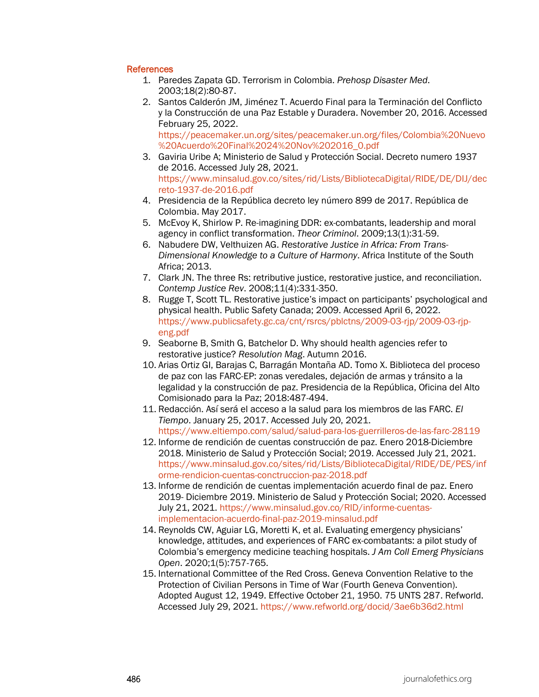## **References**

- 1. Paredes Zapata GD. Terrorism in Colombia. *Prehosp Disaster Med*. 2003;18(2):80-87.
- 2. Santos Calderón JM, Jiménez T. Acuerdo Final para la Terminación del Conflicto y la Construcción de una Paz Estable y Duradera. November 20, 2016. Accessed February 25, 2022. [https://peacemaker.un.org/sites/peacemaker.un.org/files/Colombia%20Nuevo](https://peacemaker.un.org/sites/peacemaker.un.org/files/Colombia%20Nuevo%20Acuerdo%20Final%2024%20Nov%202016_0.pdf) [%20Acuerdo%20Final%2024%20Nov%202016\\_0.pdf](https://peacemaker.un.org/sites/peacemaker.un.org/files/Colombia%20Nuevo%20Acuerdo%20Final%2024%20Nov%202016_0.pdf)
- 3. Gaviria Uribe A; Ministerio de Salud y Protección Social. Decreto numero 1937 de 2016. Accessed July 28, 2021. [https://www.minsalud.gov.co/sites/rid/Lists/BibliotecaDigital/RIDE/DE/DIJ/dec](https://www.minsalud.gov.co/sites/rid/Lists/BibliotecaDigital/RIDE/DE/DIJ/decreto-1937-de-2016.pdf) [reto-1937-de-2016.pdf](https://www.minsalud.gov.co/sites/rid/Lists/BibliotecaDigital/RIDE/DE/DIJ/decreto-1937-de-2016.pdf)
- 4. Presidencia de la República decreto ley número 899 de 2017. República de Colombia. May 2017.
- 5. McEvoy K, Shirlow P. Re-imagining DDR: ex-combatants, leadership and moral agency in conflict transformation. *Theor Criminol*. 2009;13(1):31-59.
- 6. Nabudere DW, Velthuizen AG. *Restorative Justice in Africa: From Trans-Dimensional Knowledge to a Culture of Harmony*. Africa Institute of the South Africa; 2013.
- 7. Clark JN. The three Rs: retributive justice, restorative justice, and reconciliation. *Contemp Justice Rev*. 2008;11(4):331-350.
- 8. Rugge T, Scott TL. Restorative justice's impact on participants' psychological and physical health. Public Safety Canada; 2009. Accessed April 6, 2022. [https://www.publicsafety.gc.ca/cnt/rsrcs/pblctns/2009-03-rjp/2009-03-rjp](https://www.publicsafety.gc.ca/cnt/rsrcs/pblctns/2009-03-rjp/2009-03-rjp-eng.pdf)[eng.pdf](https://www.publicsafety.gc.ca/cnt/rsrcs/pblctns/2009-03-rjp/2009-03-rjp-eng.pdf)
- 9. Seaborne B, Smith G, Batchelor D. Why should health agencies refer to restorative justice? *Resolution Mag*. Autumn 2016.
- 10. Arias Ortiz GI, Barajas C, Barragán Montaña AD. Tomo X. Biblioteca del proceso de paz con las FARC-EP: zonas veredales, dejación de armas y tránsito a la legalidad y la construcción de paz. Presidencia de la República, Oficina del Alto Comisionado para la Paz; 2018:487-494.
- 11. Redacción. Así será el acceso a la salud para los miembros de las FARC. *El Tiempo*. January 25, 2017. Accessed July 20, 2021. <https://www.eltiempo.com/salud/salud-para-los-guerrilleros-de-las-farc-28119>
- 12. Informe de rendición de cuentas construcción de paz. Enero 2018-Diciembre 2018. Ministerio de Salud y Protección Social; 2019. Accessed July 21, 2021. [https://www.minsalud.gov.co/sites/rid/Lists/BibliotecaDigital/RIDE/DE/PES/inf](https://www.minsalud.gov.co/sites/rid/Lists/BibliotecaDigital/RIDE/DE/PES/informe-rendicion-cuentas-conctruccion-paz-2018.pdf) [orme-rendicion-cuentas-conctruccion-paz-2018.pdf](https://www.minsalud.gov.co/sites/rid/Lists/BibliotecaDigital/RIDE/DE/PES/informe-rendicion-cuentas-conctruccion-paz-2018.pdf)
- 13. Informe de rendición de cuentas implementación acuerdo final de paz. Enero 2019- Diciembre 2019. Ministerio de Salud y Protección Social; 2020. Accessed July 21, 2021. [https://www.minsalud.gov.co/RID/informe-cuentas](https://www.minsalud.gov.co/RID/informe-cuentas-implementacion-acuerdo-final-paz-2019-minsalud.pdf)[implementacion-acuerdo-final-paz-2019-minsalud.pdf](https://www.minsalud.gov.co/RID/informe-cuentas-implementacion-acuerdo-final-paz-2019-minsalud.pdf)
- 14. Reynolds CW, Aguiar LG, Moretti K, et al. Evaluating emergency physicians' knowledge, attitudes, and experiences of FARC ex-combatants: a pilot study of Colombia's emergency medicine teaching hospitals. *J Am Coll Emerg Physicians Open*. 2020;1(5):757-765.
- 15. International Committee of the Red Cross. Geneva Convention Relative to the Protection of Civilian Persons in Time of War (Fourth Geneva Convention). Adopted August 12, 1949. Effective October 21, 1950. 75 UNTS 287. Refworld. Accessed July 29, 2021.<https://www.refworld.org/docid/3ae6b36d2.html>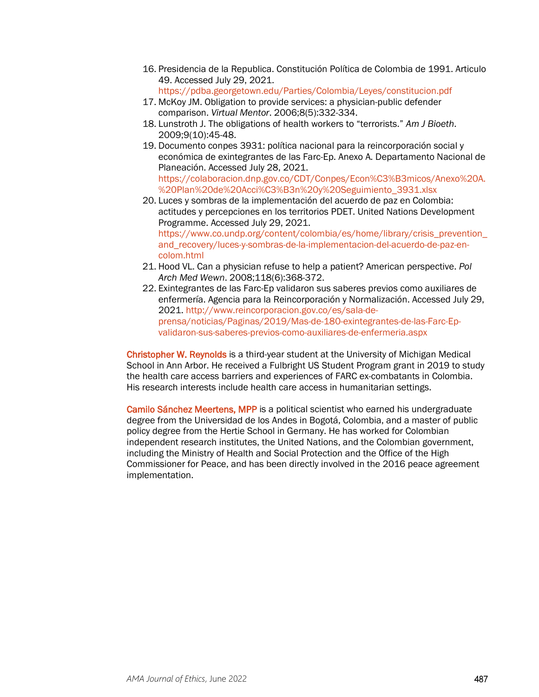- 16. Presidencia de la Republica. Constitución Política de Colombia de 1991. Articulo 49. Accessed July 29, 2021.
	- <https://pdba.georgetown.edu/Parties/Colombia/Leyes/constitucion.pdf>
- 17. McKoy JM. Obligation to provide services: a physician-public defender comparison. *Virtual Mentor*. 2006;8(5):332-334.
- 18. Lunstroth J. The obligations of health workers to "terrorists." *Am J Bioeth*. 2009;9(10):45-48.
- 19. Documento conpes 3931: política nacional para la reincorporación social y económica de exintegrantes de las Farc-Ep. Anexo A. Departamento Nacional de Planeación. Accessed July 28, 2021. [https://colaboracion.dnp.gov.co/CDT/Conpes/Econ%C3%B3micos/Anexo%20A.](https://colaboracion.dnp.gov.co/CDT/Conpes/Econ%C3%B3micos/Anexo%20A.%20Plan%20de%20Acci%C3%B3n%20y%20Seguimiento_3931.xlsx) [%20Plan%20de%20Acci%C3%B3n%20y%20Seguimiento\\_3931.xlsx](https://colaboracion.dnp.gov.co/CDT/Conpes/Econ%C3%B3micos/Anexo%20A.%20Plan%20de%20Acci%C3%B3n%20y%20Seguimiento_3931.xlsx)
- 20. Luces y sombras de la implementación del acuerdo de paz en Colombia: actitudes y percepciones en los territorios PDET. United Nations Development Programme. Accessed July 29, 2021. [https://www.co.undp.org/content/colombia/es/home/library/crisis\\_prevention\\_](https://www.co.undp.org/content/colombia/es/home/library/crisis_prevention_and_recovery/luces-y-sombras-de-la-implementacion-del-acuerdo-de-paz-en-colom.html) [and\\_recovery/luces-y-sombras-de-la-implementacion-del-acuerdo-de-paz-en](https://www.co.undp.org/content/colombia/es/home/library/crisis_prevention_and_recovery/luces-y-sombras-de-la-implementacion-del-acuerdo-de-paz-en-colom.html)[colom.html](https://www.co.undp.org/content/colombia/es/home/library/crisis_prevention_and_recovery/luces-y-sombras-de-la-implementacion-del-acuerdo-de-paz-en-colom.html)
- 21. Hood VL. Can a physician refuse to help a patient? American perspective. *Pol Arch Med Wewn*. 2008;118(6):368-372.
- 22. Exintegrantes de las Farc-Ep validaron sus saberes previos como auxiliares de enfermería. Agencia para la Reincorporación y Normalización. Accessed July 29, 2021. [http://www.reincorporacion.gov.co/es/sala-de](http://www.reincorporacion.gov.co/es/sala-de-prensa/noticias/Paginas/2019/Mas-de-180-exintegrantes-de-las-Farc-Ep-validaron-sus-saberes-previos-como-auxiliares-de-enfermeria.aspx)[prensa/noticias/Paginas/2019/Mas-de-180-exintegrantes-de-las-Farc-Ep](http://www.reincorporacion.gov.co/es/sala-de-prensa/noticias/Paginas/2019/Mas-de-180-exintegrantes-de-las-Farc-Ep-validaron-sus-saberes-previos-como-auxiliares-de-enfermeria.aspx)[validaron-sus-saberes-previos-como-auxiliares-de-enfermeria.aspx](http://www.reincorporacion.gov.co/es/sala-de-prensa/noticias/Paginas/2019/Mas-de-180-exintegrantes-de-las-Farc-Ep-validaron-sus-saberes-previos-como-auxiliares-de-enfermeria.aspx)

Christopher W. Reynolds is a third-year student at the University of Michigan Medical School in Ann Arbor. He received a Fulbright US Student Program grant in 2019 to study the health care access barriers and experiences of FARC ex-combatants in Colombia. His research interests include health care access in humanitarian settings.

Camilo Sánchez Meertens, MPP is a political scientist who earned his undergraduate degree from the Universidad de los Andes in Bogotá, Colombia, and a master of public policy degree from the Hertie School in Germany. He has worked for Colombian independent research institutes, the United Nations, and the Colombian government, including the Ministry of Health and Social Protection and the Office of the High Commissioner for Peace, and has been directly involved in the 2016 peace agreement implementation.